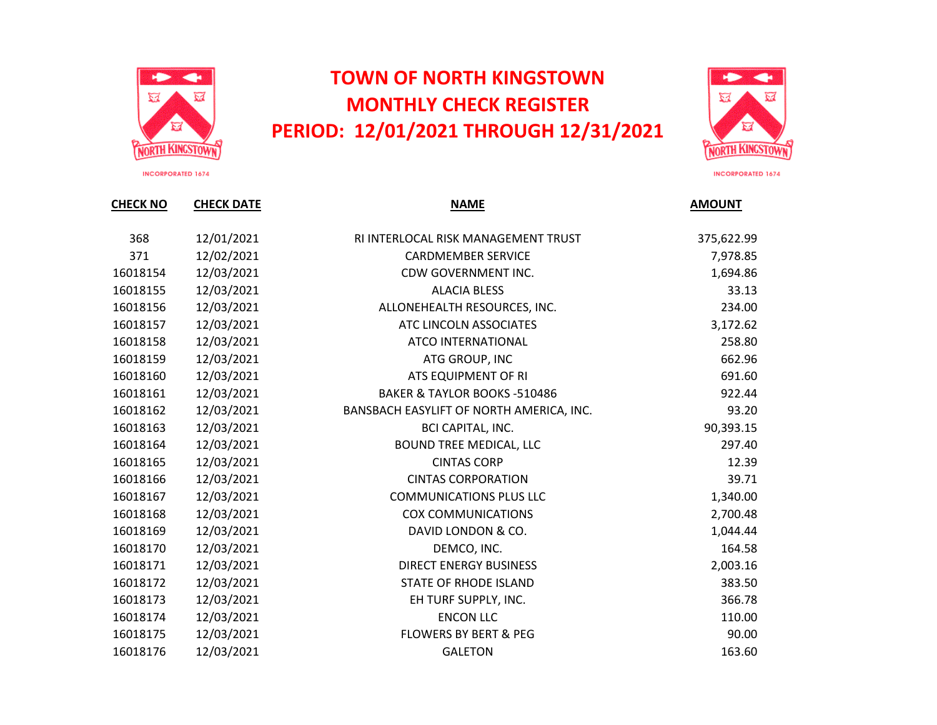

## **TOWN OF NORTH KINGSTOWN MONTHLY CHECK REGISTER PERIOD: 12/01/2021 THROUGH 12/31/2021**



**INCORPORATED 1674** 

| <b>CHECK NO</b> | <b>CHECK DATE</b> | <b>NAME</b>                              | <b>AMOUNT</b> |
|-----------------|-------------------|------------------------------------------|---------------|
| 368             | 12/01/2021        | RI INTERLOCAL RISK MANAGEMENT TRUST      | 375,622.99    |
| 371             | 12/02/2021        | <b>CARDMEMBER SERVICE</b>                | 7,978.85      |
| 16018154        | 12/03/2021        | CDW GOVERNMENT INC.                      | 1,694.86      |
| 16018155        | 12/03/2021        | <b>ALACIA BLESS</b>                      | 33.13         |
| 16018156        | 12/03/2021        | ALLONEHEALTH RESOURCES, INC.             | 234.00        |
| 16018157        | 12/03/2021        | ATC LINCOLN ASSOCIATES                   | 3,172.62      |
| 16018158        | 12/03/2021        | ATCO INTERNATIONAL                       | 258.80        |
| 16018159        | 12/03/2021        | ATG GROUP, INC                           | 662.96        |
| 16018160        | 12/03/2021        | ATS EQUIPMENT OF RI                      | 691.60        |
| 16018161        | 12/03/2021        | <b>BAKER &amp; TAYLOR BOOKS -510486</b>  | 922.44        |
| 16018162        | 12/03/2021        | BANSBACH EASYLIFT OF NORTH AMERICA, INC. | 93.20         |
| 16018163        | 12/03/2021        | <b>BCI CAPITAL, INC.</b>                 | 90,393.15     |
| 16018164        | 12/03/2021        | <b>BOUND TREE MEDICAL, LLC</b>           | 297.40        |
| 16018165        | 12/03/2021        | <b>CINTAS CORP</b>                       | 12.39         |
| 16018166        | 12/03/2021        | <b>CINTAS CORPORATION</b>                | 39.71         |
| 16018167        | 12/03/2021        | <b>COMMUNICATIONS PLUS LLC</b>           | 1,340.00      |
| 16018168        | 12/03/2021        | <b>COX COMMUNICATIONS</b>                | 2,700.48      |
| 16018169        | 12/03/2021        | DAVID LONDON & CO.                       | 1,044.44      |
| 16018170        | 12/03/2021        | DEMCO, INC.                              | 164.58        |
| 16018171        | 12/03/2021        | <b>DIRECT ENERGY BUSINESS</b>            | 2,003.16      |
| 16018172        | 12/03/2021        | STATE OF RHODE ISLAND                    | 383.50        |
| 16018173        | 12/03/2021        | EH TURF SUPPLY, INC.                     | 366.78        |
| 16018174        | 12/03/2021        | <b>ENCON LLC</b>                         | 110.00        |
| 16018175        | 12/03/2021        | <b>FLOWERS BY BERT &amp; PEG</b>         | 90.00         |
| 16018176        | 12/03/2021        | <b>GALETON</b>                           | 163.60        |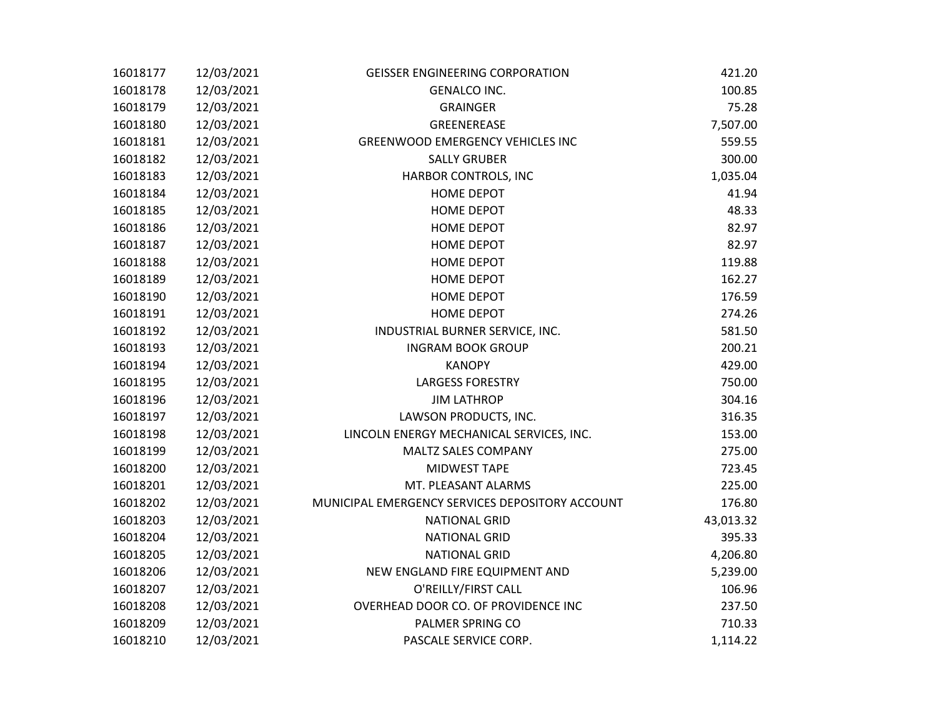| 16018177 | 12/03/2021 | <b>GEISSER ENGINEERING CORPORATION</b>          | 421.20    |
|----------|------------|-------------------------------------------------|-----------|
| 16018178 | 12/03/2021 | <b>GENALCO INC.</b>                             | 100.85    |
| 16018179 | 12/03/2021 | <b>GRAINGER</b>                                 | 75.28     |
| 16018180 | 12/03/2021 | GREENEREASE                                     | 7,507.00  |
| 16018181 | 12/03/2021 | <b>GREENWOOD EMERGENCY VEHICLES INC</b>         | 559.55    |
| 16018182 | 12/03/2021 | <b>SALLY GRUBER</b>                             | 300.00    |
| 16018183 | 12/03/2021 | HARBOR CONTROLS, INC                            | 1,035.04  |
| 16018184 | 12/03/2021 | <b>HOME DEPOT</b>                               | 41.94     |
| 16018185 | 12/03/2021 | HOME DEPOT                                      | 48.33     |
| 16018186 | 12/03/2021 | <b>HOME DEPOT</b>                               | 82.97     |
| 16018187 | 12/03/2021 | <b>HOME DEPOT</b>                               | 82.97     |
| 16018188 | 12/03/2021 | <b>HOME DEPOT</b>                               | 119.88    |
| 16018189 | 12/03/2021 | <b>HOME DEPOT</b>                               | 162.27    |
| 16018190 | 12/03/2021 | HOME DEPOT                                      | 176.59    |
| 16018191 | 12/03/2021 | <b>HOME DEPOT</b>                               | 274.26    |
| 16018192 | 12/03/2021 | INDUSTRIAL BURNER SERVICE, INC.                 | 581.50    |
| 16018193 | 12/03/2021 | <b>INGRAM BOOK GROUP</b>                        | 200.21    |
| 16018194 | 12/03/2021 | <b>KANOPY</b>                                   | 429.00    |
| 16018195 | 12/03/2021 | <b>LARGESS FORESTRY</b>                         | 750.00    |
| 16018196 | 12/03/2021 | <b>JIM LATHROP</b>                              | 304.16    |
| 16018197 | 12/03/2021 | LAWSON PRODUCTS, INC.                           | 316.35    |
| 16018198 | 12/03/2021 | LINCOLN ENERGY MECHANICAL SERVICES, INC.        | 153.00    |
| 16018199 | 12/03/2021 | MALTZ SALES COMPANY                             | 275.00    |
| 16018200 | 12/03/2021 | MIDWEST TAPE                                    | 723.45    |
| 16018201 | 12/03/2021 | MT. PLEASANT ALARMS                             | 225.00    |
| 16018202 | 12/03/2021 | MUNICIPAL EMERGENCY SERVICES DEPOSITORY ACCOUNT | 176.80    |
| 16018203 | 12/03/2021 | <b>NATIONAL GRID</b>                            | 43,013.32 |
| 16018204 | 12/03/2021 | <b>NATIONAL GRID</b>                            | 395.33    |
| 16018205 | 12/03/2021 | <b>NATIONAL GRID</b>                            | 4,206.80  |
| 16018206 | 12/03/2021 | NEW ENGLAND FIRE EQUIPMENT AND                  | 5,239.00  |
| 16018207 | 12/03/2021 | O'REILLY/FIRST CALL                             | 106.96    |
| 16018208 | 12/03/2021 | OVERHEAD DOOR CO. OF PROVIDENCE INC             | 237.50    |
| 16018209 | 12/03/2021 | PALMER SPRING CO                                | 710.33    |
| 16018210 | 12/03/2021 | PASCALE SERVICE CORP.                           | 1,114.22  |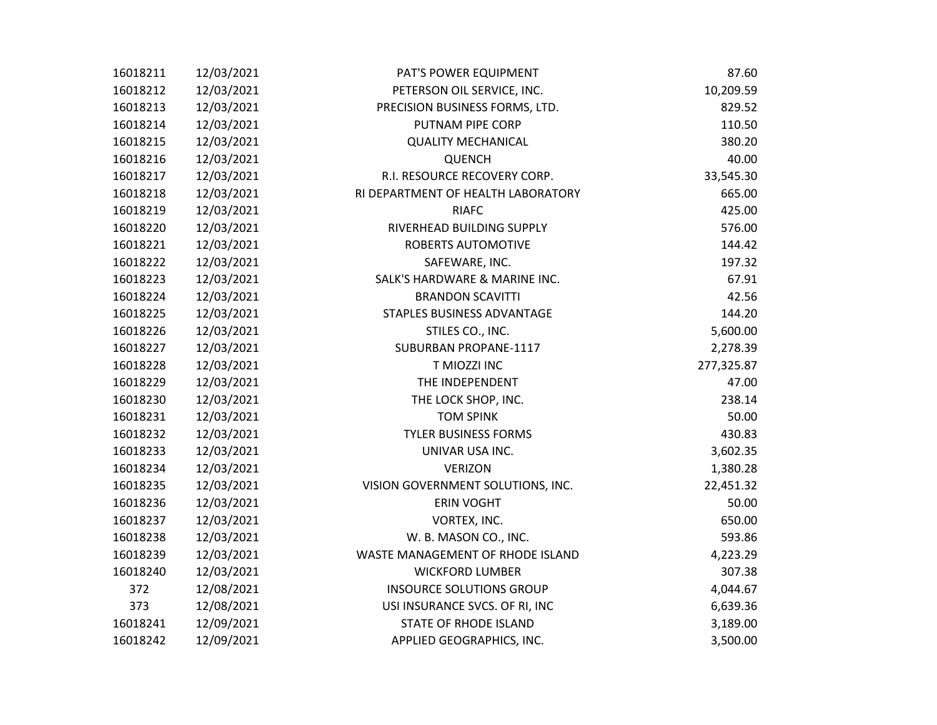| 16018211 | 12/03/2021 | PAT'S POWER EQUIPMENT              | 87.60      |
|----------|------------|------------------------------------|------------|
| 16018212 | 12/03/2021 | PETERSON OIL SERVICE, INC.         | 10,209.59  |
| 16018213 | 12/03/2021 | PRECISION BUSINESS FORMS, LTD.     | 829.52     |
| 16018214 | 12/03/2021 | PUTNAM PIPE CORP                   | 110.50     |
| 16018215 | 12/03/2021 | <b>QUALITY MECHANICAL</b>          | 380.20     |
| 16018216 | 12/03/2021 | <b>QUENCH</b>                      | 40.00      |
| 16018217 | 12/03/2021 | R.I. RESOURCE RECOVERY CORP.       | 33,545.30  |
| 16018218 | 12/03/2021 | RI DEPARTMENT OF HEALTH LABORATORY | 665.00     |
| 16018219 | 12/03/2021 | <b>RIAFC</b>                       | 425.00     |
| 16018220 | 12/03/2021 | RIVERHEAD BUILDING SUPPLY          | 576.00     |
| 16018221 | 12/03/2021 | <b>ROBERTS AUTOMOTIVE</b>          | 144.42     |
| 16018222 | 12/03/2021 | SAFEWARE, INC.                     | 197.32     |
| 16018223 | 12/03/2021 | SALK'S HARDWARE & MARINE INC.      | 67.91      |
| 16018224 | 12/03/2021 | <b>BRANDON SCAVITTI</b>            | 42.56      |
| 16018225 | 12/03/2021 | STAPLES BUSINESS ADVANTAGE         | 144.20     |
| 16018226 | 12/03/2021 | STILES CO., INC.                   | 5,600.00   |
| 16018227 | 12/03/2021 | SUBURBAN PROPANE-1117              | 2,278.39   |
| 16018228 | 12/03/2021 | T MIOZZI INC                       | 277,325.87 |
| 16018229 | 12/03/2021 | THE INDEPENDENT                    | 47.00      |
| 16018230 | 12/03/2021 | THE LOCK SHOP, INC.                | 238.14     |
| 16018231 | 12/03/2021 | <b>TOM SPINK</b>                   | 50.00      |
| 16018232 | 12/03/2021 | <b>TYLER BUSINESS FORMS</b>        | 430.83     |
| 16018233 | 12/03/2021 | UNIVAR USA INC.                    | 3,602.35   |
| 16018234 | 12/03/2021 | <b>VERIZON</b>                     | 1,380.28   |
| 16018235 | 12/03/2021 | VISION GOVERNMENT SOLUTIONS, INC.  | 22,451.32  |
| 16018236 | 12/03/2021 | <b>ERIN VOGHT</b>                  | 50.00      |
| 16018237 | 12/03/2021 | VORTEX, INC.                       | 650.00     |
| 16018238 | 12/03/2021 | W. B. MASON CO., INC.              | 593.86     |
| 16018239 | 12/03/2021 | WASTE MANAGEMENT OF RHODE ISLAND   | 4,223.29   |
| 16018240 | 12/03/2021 | <b>WICKFORD LUMBER</b>             | 307.38     |
| 372      | 12/08/2021 | <b>INSOURCE SOLUTIONS GROUP</b>    | 4,044.67   |
| 373      | 12/08/2021 | USI INSURANCE SVCS. OF RI, INC     | 6,639.36   |
| 16018241 | 12/09/2021 | STATE OF RHODE ISLAND              | 3,189.00   |
| 16018242 | 12/09/2021 | APPLIED GEOGRAPHICS, INC.          | 3,500.00   |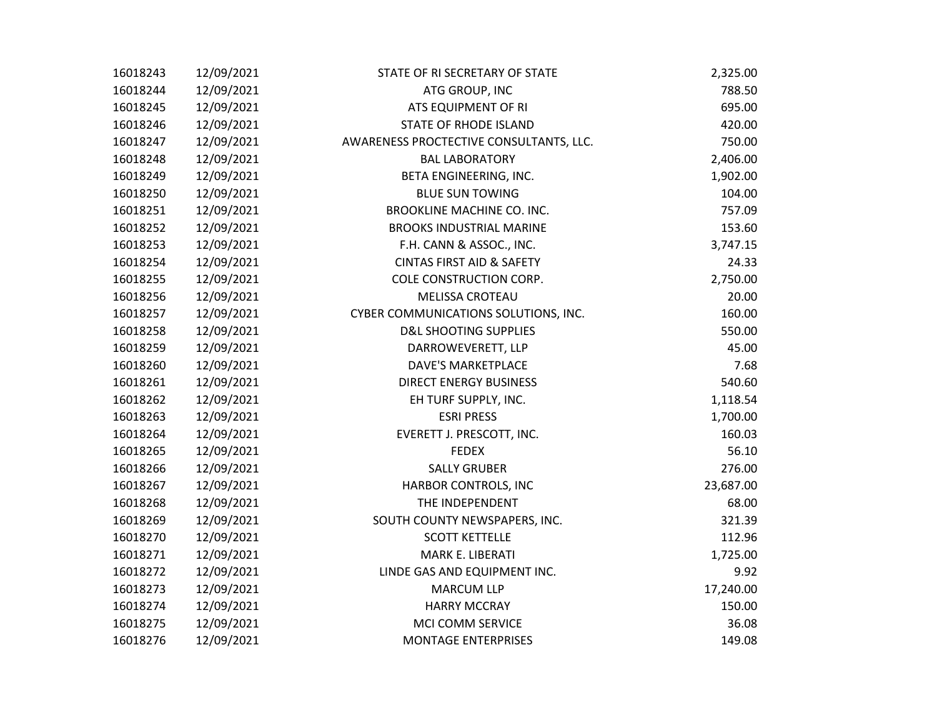| 16018243 | 12/09/2021 | STATE OF RI SECRETARY OF STATE          | 2,325.00  |
|----------|------------|-----------------------------------------|-----------|
| 16018244 | 12/09/2021 | ATG GROUP, INC                          | 788.50    |
| 16018245 | 12/09/2021 | ATS EQUIPMENT OF RI                     | 695.00    |
| 16018246 | 12/09/2021 | STATE OF RHODE ISLAND                   | 420.00    |
| 16018247 | 12/09/2021 | AWARENESS PROCTECTIVE CONSULTANTS, LLC. | 750.00    |
| 16018248 | 12/09/2021 | <b>BAL LABORATORY</b>                   | 2,406.00  |
| 16018249 | 12/09/2021 | BETA ENGINEERING, INC.                  | 1,902.00  |
| 16018250 | 12/09/2021 | <b>BLUE SUN TOWING</b>                  | 104.00    |
| 16018251 | 12/09/2021 | <b>BROOKLINE MACHINE CO. INC.</b>       | 757.09    |
| 16018252 | 12/09/2021 | <b>BROOKS INDUSTRIAL MARINE</b>         | 153.60    |
| 16018253 | 12/09/2021 | F.H. CANN & ASSOC., INC.                | 3,747.15  |
| 16018254 | 12/09/2021 | <b>CINTAS FIRST AID &amp; SAFETY</b>    | 24.33     |
| 16018255 | 12/09/2021 | COLE CONSTRUCTION CORP.                 | 2,750.00  |
| 16018256 | 12/09/2021 | MELISSA CROTEAU                         | 20.00     |
| 16018257 | 12/09/2021 | CYBER COMMUNICATIONS SOLUTIONS, INC.    | 160.00    |
| 16018258 | 12/09/2021 | <b>D&amp;L SHOOTING SUPPLIES</b>        | 550.00    |
| 16018259 | 12/09/2021 | DARROWEVERETT, LLP                      | 45.00     |
| 16018260 | 12/09/2021 | <b>DAVE'S MARKETPLACE</b>               | 7.68      |
| 16018261 | 12/09/2021 | <b>DIRECT ENERGY BUSINESS</b>           | 540.60    |
| 16018262 | 12/09/2021 | EH TURF SUPPLY, INC.                    | 1,118.54  |
| 16018263 | 12/09/2021 | <b>ESRI PRESS</b>                       | 1,700.00  |
| 16018264 | 12/09/2021 | EVERETT J. PRESCOTT, INC.               | 160.03    |
| 16018265 | 12/09/2021 | <b>FEDEX</b>                            | 56.10     |
| 16018266 | 12/09/2021 | <b>SALLY GRUBER</b>                     | 276.00    |
| 16018267 | 12/09/2021 | HARBOR CONTROLS, INC                    | 23,687.00 |
| 16018268 | 12/09/2021 | THE INDEPENDENT                         | 68.00     |
| 16018269 | 12/09/2021 | SOUTH COUNTY NEWSPAPERS, INC.           | 321.39    |
| 16018270 | 12/09/2021 | <b>SCOTT KETTELLE</b>                   | 112.96    |
| 16018271 | 12/09/2021 | MARK E. LIBERATI                        | 1,725.00  |
| 16018272 | 12/09/2021 | LINDE GAS AND EQUIPMENT INC.            | 9.92      |
| 16018273 | 12/09/2021 | <b>MARCUM LLP</b>                       | 17,240.00 |
| 16018274 | 12/09/2021 | <b>HARRY MCCRAY</b>                     | 150.00    |
| 16018275 | 12/09/2021 | MCI COMM SERVICE                        | 36.08     |
| 16018276 | 12/09/2021 | <b>MONTAGE ENTERPRISES</b>              | 149.08    |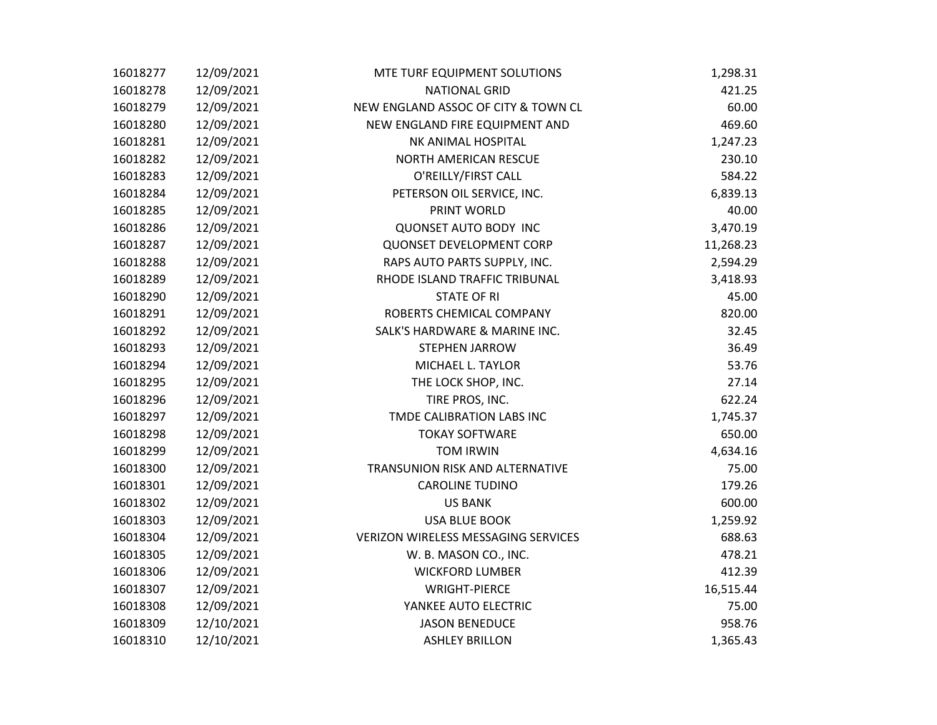| 16018277 | 12/09/2021 | MTE TURF EQUIPMENT SOLUTIONS        | 1,298.31  |
|----------|------------|-------------------------------------|-----------|
| 16018278 | 12/09/2021 | <b>NATIONAL GRID</b>                | 421.25    |
| 16018279 | 12/09/2021 | NEW ENGLAND ASSOC OF CITY & TOWN CL | 60.00     |
| 16018280 | 12/09/2021 | NEW ENGLAND FIRE EQUIPMENT AND      | 469.60    |
| 16018281 | 12/09/2021 | NK ANIMAL HOSPITAL                  | 1,247.23  |
| 16018282 | 12/09/2021 | <b>NORTH AMERICAN RESCUE</b>        | 230.10    |
| 16018283 | 12/09/2021 | O'REILLY/FIRST CALL                 | 584.22    |
| 16018284 | 12/09/2021 | PETERSON OIL SERVICE, INC.          | 6,839.13  |
| 16018285 | 12/09/2021 | PRINT WORLD                         | 40.00     |
| 16018286 | 12/09/2021 | <b>QUONSET AUTO BODY INC</b>        | 3,470.19  |
| 16018287 | 12/09/2021 | <b>QUONSET DEVELOPMENT CORP</b>     | 11,268.23 |
| 16018288 | 12/09/2021 | RAPS AUTO PARTS SUPPLY, INC.        | 2,594.29  |
| 16018289 | 12/09/2021 | RHODE ISLAND TRAFFIC TRIBUNAL       | 3,418.93  |
| 16018290 | 12/09/2021 | <b>STATE OF RI</b>                  | 45.00     |
| 16018291 | 12/09/2021 | ROBERTS CHEMICAL COMPANY            | 820.00    |
| 16018292 | 12/09/2021 | SALK'S HARDWARE & MARINE INC.       | 32.45     |
| 16018293 | 12/09/2021 | <b>STEPHEN JARROW</b>               | 36.49     |
| 16018294 | 12/09/2021 | MICHAEL L. TAYLOR                   | 53.76     |
| 16018295 | 12/09/2021 | THE LOCK SHOP, INC.                 | 27.14     |
| 16018296 | 12/09/2021 | TIRE PROS, INC.                     | 622.24    |
| 16018297 | 12/09/2021 | TMDE CALIBRATION LABS INC           | 1,745.37  |
| 16018298 | 12/09/2021 | <b>TOKAY SOFTWARE</b>               | 650.00    |
| 16018299 | 12/09/2021 | <b>TOM IRWIN</b>                    | 4,634.16  |
| 16018300 | 12/09/2021 | TRANSUNION RISK AND ALTERNATIVE     | 75.00     |
| 16018301 | 12/09/2021 | <b>CAROLINE TUDINO</b>              | 179.26    |
| 16018302 | 12/09/2021 | <b>US BANK</b>                      | 600.00    |
| 16018303 | 12/09/2021 | <b>USA BLUE BOOK</b>                | 1,259.92  |
| 16018304 | 12/09/2021 | VERIZON WIRELESS MESSAGING SERVICES | 688.63    |
| 16018305 | 12/09/2021 | W. B. MASON CO., INC.               | 478.21    |
| 16018306 | 12/09/2021 | <b>WICKFORD LUMBER</b>              | 412.39    |
| 16018307 | 12/09/2021 | <b>WRIGHT-PIERCE</b>                | 16,515.44 |
| 16018308 | 12/09/2021 | YANKEE AUTO ELECTRIC                | 75.00     |
| 16018309 | 12/10/2021 | <b>JASON BENEDUCE</b>               | 958.76    |
| 16018310 | 12/10/2021 | <b>ASHLEY BRILLON</b>               | 1,365.43  |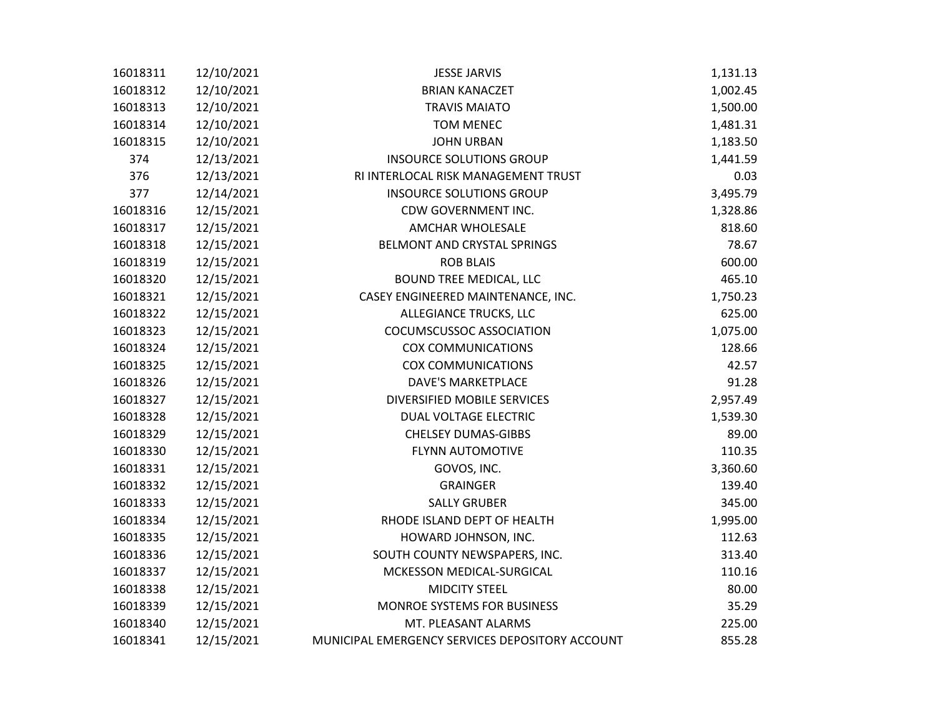| 16018311 | 12/10/2021 | <b>JESSE JARVIS</b>                             | 1,131.13 |
|----------|------------|-------------------------------------------------|----------|
| 16018312 | 12/10/2021 | <b>BRIAN KANACZET</b>                           | 1,002.45 |
| 16018313 | 12/10/2021 | <b>TRAVIS MAIATO</b>                            | 1,500.00 |
| 16018314 | 12/10/2021 | <b>TOM MENEC</b>                                | 1,481.31 |
| 16018315 | 12/10/2021 | <b>JOHN URBAN</b>                               | 1,183.50 |
| 374      | 12/13/2021 | <b>INSOURCE SOLUTIONS GROUP</b>                 | 1,441.59 |
| 376      | 12/13/2021 | RI INTERLOCAL RISK MANAGEMENT TRUST             | 0.03     |
| 377      | 12/14/2021 | <b>INSOURCE SOLUTIONS GROUP</b>                 | 3,495.79 |
| 16018316 | 12/15/2021 | CDW GOVERNMENT INC.                             | 1,328.86 |
| 16018317 | 12/15/2021 | AMCHAR WHOLESALE                                | 818.60   |
| 16018318 | 12/15/2021 | BELMONT AND CRYSTAL SPRINGS                     | 78.67    |
| 16018319 | 12/15/2021 | <b>ROB BLAIS</b>                                | 600.00   |
| 16018320 | 12/15/2021 | <b>BOUND TREE MEDICAL, LLC</b>                  | 465.10   |
| 16018321 | 12/15/2021 | CASEY ENGINEERED MAINTENANCE, INC.              | 1,750.23 |
| 16018322 | 12/15/2021 | ALLEGIANCE TRUCKS, LLC                          | 625.00   |
| 16018323 | 12/15/2021 | COCUMSCUSSOC ASSOCIATION                        | 1,075.00 |
| 16018324 | 12/15/2021 | <b>COX COMMUNICATIONS</b>                       | 128.66   |
| 16018325 | 12/15/2021 | <b>COX COMMUNICATIONS</b>                       | 42.57    |
| 16018326 | 12/15/2021 | <b>DAVE'S MARKETPLACE</b>                       | 91.28    |
| 16018327 | 12/15/2021 | DIVERSIFIED MOBILE SERVICES                     | 2,957.49 |
| 16018328 | 12/15/2021 | DUAL VOLTAGE ELECTRIC                           | 1,539.30 |
| 16018329 | 12/15/2021 | <b>CHELSEY DUMAS-GIBBS</b>                      | 89.00    |
| 16018330 | 12/15/2021 | <b>FLYNN AUTOMOTIVE</b>                         | 110.35   |
| 16018331 | 12/15/2021 | GOVOS, INC.                                     | 3,360.60 |
| 16018332 | 12/15/2021 | <b>GRAINGER</b>                                 | 139.40   |
| 16018333 | 12/15/2021 | <b>SALLY GRUBER</b>                             | 345.00   |
| 16018334 | 12/15/2021 | RHODE ISLAND DEPT OF HEALTH                     | 1,995.00 |
| 16018335 | 12/15/2021 | HOWARD JOHNSON, INC.                            | 112.63   |
| 16018336 | 12/15/2021 | SOUTH COUNTY NEWSPAPERS, INC.                   | 313.40   |
| 16018337 | 12/15/2021 | MCKESSON MEDICAL-SURGICAL                       | 110.16   |
| 16018338 | 12/15/2021 | <b>MIDCITY STEEL</b>                            | 80.00    |
| 16018339 | 12/15/2021 | MONROE SYSTEMS FOR BUSINESS                     | 35.29    |
| 16018340 | 12/15/2021 | MT. PLEASANT ALARMS                             | 225.00   |
| 16018341 | 12/15/2021 | MUNICIPAL EMERGENCY SERVICES DEPOSITORY ACCOUNT | 855.28   |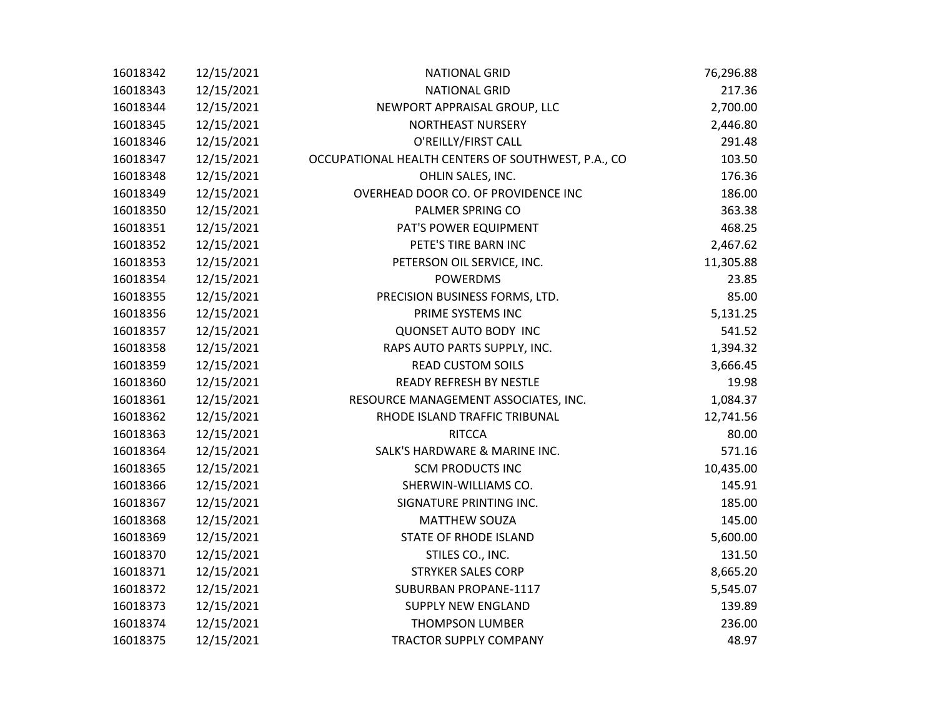| 16018342 | 12/15/2021 | <b>NATIONAL GRID</b>                               | 76,296.88 |
|----------|------------|----------------------------------------------------|-----------|
| 16018343 | 12/15/2021 | <b>NATIONAL GRID</b>                               | 217.36    |
| 16018344 | 12/15/2021 | NEWPORT APPRAISAL GROUP, LLC                       | 2,700.00  |
| 16018345 | 12/15/2021 | NORTHEAST NURSERY                                  | 2,446.80  |
| 16018346 | 12/15/2021 | O'REILLY/FIRST CALL                                | 291.48    |
| 16018347 | 12/15/2021 | OCCUPATIONAL HEALTH CENTERS OF SOUTHWEST, P.A., CO | 103.50    |
| 16018348 | 12/15/2021 | OHLIN SALES, INC.                                  | 176.36    |
| 16018349 | 12/15/2021 | OVERHEAD DOOR CO. OF PROVIDENCE INC                | 186.00    |
| 16018350 | 12/15/2021 | PALMER SPRING CO                                   | 363.38    |
| 16018351 | 12/15/2021 | PAT'S POWER EQUIPMENT                              | 468.25    |
| 16018352 | 12/15/2021 | PETE'S TIRE BARN INC                               | 2,467.62  |
| 16018353 | 12/15/2021 | PETERSON OIL SERVICE, INC.                         | 11,305.88 |
| 16018354 | 12/15/2021 | <b>POWERDMS</b>                                    | 23.85     |
| 16018355 | 12/15/2021 | PRECISION BUSINESS FORMS, LTD.                     | 85.00     |
| 16018356 | 12/15/2021 | PRIME SYSTEMS INC                                  | 5,131.25  |
| 16018357 | 12/15/2021 | <b>QUONSET AUTO BODY INC</b>                       | 541.52    |
| 16018358 | 12/15/2021 | RAPS AUTO PARTS SUPPLY, INC.                       | 1,394.32  |
| 16018359 | 12/15/2021 | <b>READ CUSTOM SOILS</b>                           | 3,666.45  |
| 16018360 | 12/15/2021 | <b>READY REFRESH BY NESTLE</b>                     | 19.98     |
| 16018361 | 12/15/2021 | RESOURCE MANAGEMENT ASSOCIATES, INC.               | 1,084.37  |
| 16018362 | 12/15/2021 | RHODE ISLAND TRAFFIC TRIBUNAL                      | 12,741.56 |
| 16018363 | 12/15/2021 | <b>RITCCA</b>                                      | 80.00     |
| 16018364 | 12/15/2021 | SALK'S HARDWARE & MARINE INC.                      | 571.16    |
| 16018365 | 12/15/2021 | <b>SCM PRODUCTS INC</b>                            | 10,435.00 |
| 16018366 | 12/15/2021 | SHERWIN-WILLIAMS CO.                               | 145.91    |
| 16018367 | 12/15/2021 | SIGNATURE PRINTING INC.                            | 185.00    |
| 16018368 | 12/15/2021 | <b>MATTHEW SOUZA</b>                               | 145.00    |
| 16018369 | 12/15/2021 | STATE OF RHODE ISLAND                              | 5,600.00  |
| 16018370 | 12/15/2021 | STILES CO., INC.                                   | 131.50    |
| 16018371 | 12/15/2021 | <b>STRYKER SALES CORP</b>                          | 8,665.20  |
| 16018372 | 12/15/2021 | SUBURBAN PROPANE-1117                              | 5,545.07  |
| 16018373 | 12/15/2021 | <b>SUPPLY NEW ENGLAND</b>                          | 139.89    |
| 16018374 | 12/15/2021 | <b>THOMPSON LUMBER</b>                             | 236.00    |
| 16018375 | 12/15/2021 | <b>TRACTOR SUPPLY COMPANY</b>                      | 48.97     |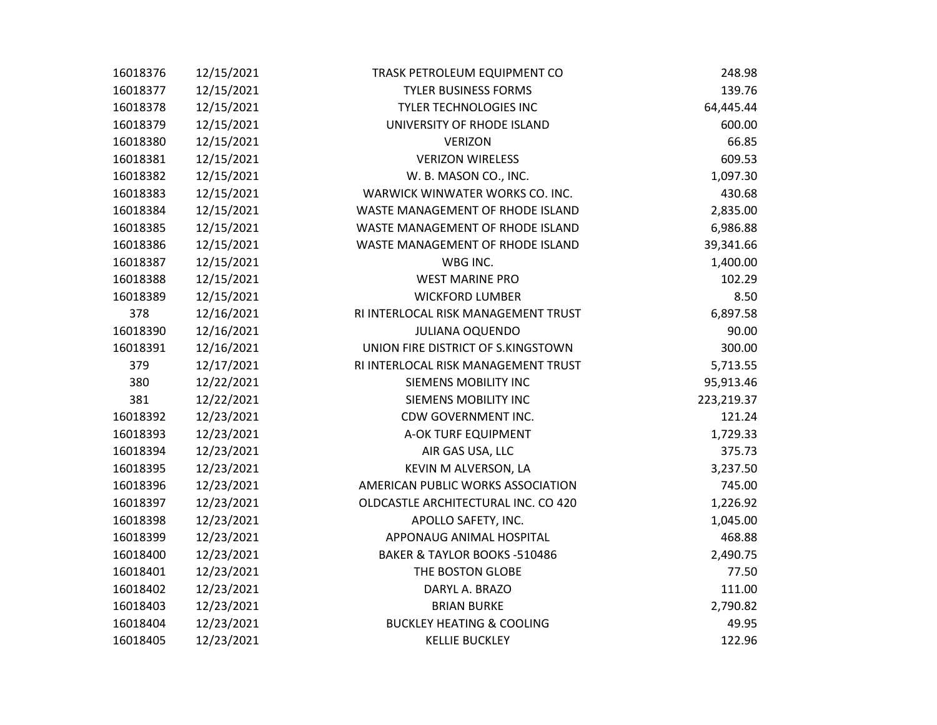| 16018376 | 12/15/2021 | TRASK PETROLEUM EQUIPMENT CO            | 248.98     |
|----------|------------|-----------------------------------------|------------|
| 16018377 | 12/15/2021 | <b>TYLER BUSINESS FORMS</b>             | 139.76     |
| 16018378 | 12/15/2021 | <b>TYLER TECHNOLOGIES INC</b>           | 64,445.44  |
| 16018379 | 12/15/2021 | UNIVERSITY OF RHODE ISLAND              | 600.00     |
| 16018380 | 12/15/2021 | <b>VERIZON</b>                          | 66.85      |
| 16018381 | 12/15/2021 | <b>VERIZON WIRELESS</b>                 | 609.53     |
| 16018382 | 12/15/2021 | W. B. MASON CO., INC.                   | 1,097.30   |
| 16018383 | 12/15/2021 | WARWICK WINWATER WORKS CO. INC.         | 430.68     |
| 16018384 | 12/15/2021 | WASTE MANAGEMENT OF RHODE ISLAND        | 2,835.00   |
| 16018385 | 12/15/2021 | WASTE MANAGEMENT OF RHODE ISLAND        | 6,986.88   |
| 16018386 | 12/15/2021 | WASTE MANAGEMENT OF RHODE ISLAND        | 39,341.66  |
| 16018387 | 12/15/2021 | WBG INC.                                | 1,400.00   |
| 16018388 | 12/15/2021 | <b>WEST MARINE PRO</b>                  | 102.29     |
| 16018389 | 12/15/2021 | <b>WICKFORD LUMBER</b>                  | 8.50       |
| 378      | 12/16/2021 | RI INTERLOCAL RISK MANAGEMENT TRUST     | 6,897.58   |
| 16018390 | 12/16/2021 | <b>JULIANA OQUENDO</b>                  | 90.00      |
| 16018391 | 12/16/2021 | UNION FIRE DISTRICT OF S.KINGSTOWN      | 300.00     |
| 379      | 12/17/2021 | RI INTERLOCAL RISK MANAGEMENT TRUST     | 5,713.55   |
| 380      | 12/22/2021 | SIEMENS MOBILITY INC                    | 95,913.46  |
| 381      | 12/22/2021 | SIEMENS MOBILITY INC                    | 223,219.37 |
| 16018392 | 12/23/2021 | CDW GOVERNMENT INC.                     | 121.24     |
| 16018393 | 12/23/2021 | A-OK TURF EQUIPMENT                     | 1,729.33   |
| 16018394 | 12/23/2021 | AIR GAS USA, LLC                        | 375.73     |
| 16018395 | 12/23/2021 | KEVIN M ALVERSON, LA                    | 3,237.50   |
| 16018396 | 12/23/2021 | AMERICAN PUBLIC WORKS ASSOCIATION       | 745.00     |
| 16018397 | 12/23/2021 | OLDCASTLE ARCHITECTURAL INC. CO 420     | 1,226.92   |
| 16018398 | 12/23/2021 | APOLLO SAFETY, INC.                     | 1,045.00   |
| 16018399 | 12/23/2021 | APPONAUG ANIMAL HOSPITAL                | 468.88     |
| 16018400 | 12/23/2021 | <b>BAKER &amp; TAYLOR BOOKS -510486</b> | 2,490.75   |
| 16018401 | 12/23/2021 | THE BOSTON GLOBE                        | 77.50      |
| 16018402 | 12/23/2021 | DARYL A. BRAZO                          | 111.00     |
| 16018403 | 12/23/2021 | <b>BRIAN BURKE</b>                      | 2,790.82   |
| 16018404 | 12/23/2021 | <b>BUCKLEY HEATING &amp; COOLING</b>    | 49.95      |
| 16018405 | 12/23/2021 | <b>KELLIE BUCKLEY</b>                   | 122.96     |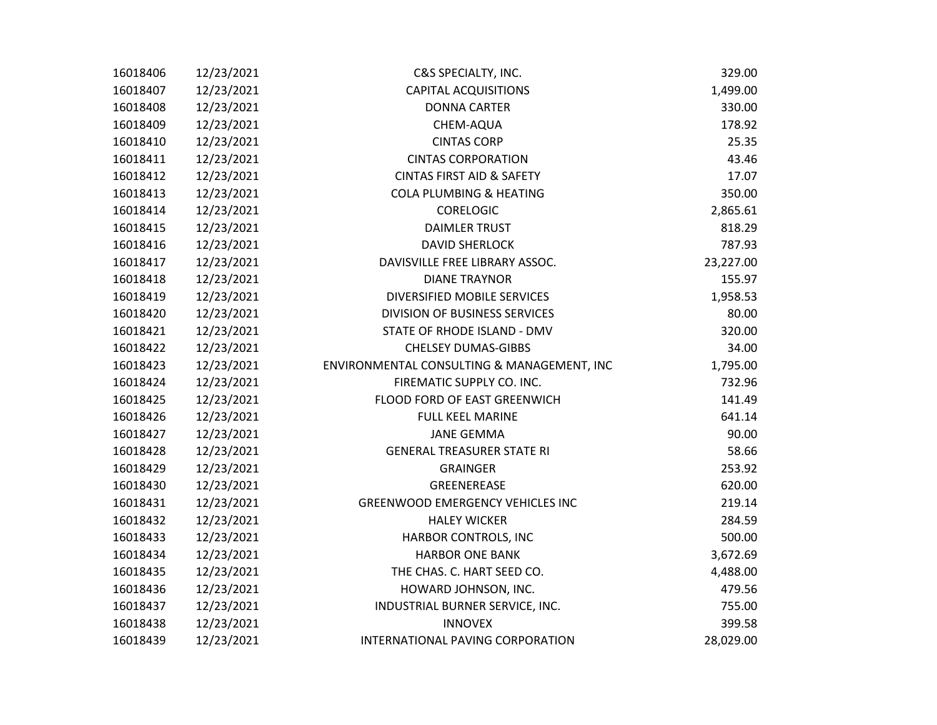| 16018406 | 12/23/2021 | C&S SPECIALTY, INC.                        | 329.00    |
|----------|------------|--------------------------------------------|-----------|
| 16018407 | 12/23/2021 | <b>CAPITAL ACQUISITIONS</b>                | 1,499.00  |
| 16018408 | 12/23/2021 | <b>DONNA CARTER</b>                        | 330.00    |
| 16018409 | 12/23/2021 | CHEM-AQUA                                  | 178.92    |
| 16018410 | 12/23/2021 | <b>CINTAS CORP</b>                         | 25.35     |
| 16018411 | 12/23/2021 | <b>CINTAS CORPORATION</b>                  | 43.46     |
| 16018412 | 12/23/2021 | <b>CINTAS FIRST AID &amp; SAFETY</b>       | 17.07     |
| 16018413 | 12/23/2021 | <b>COLA PLUMBING &amp; HEATING</b>         | 350.00    |
| 16018414 | 12/23/2021 | <b>CORELOGIC</b>                           | 2,865.61  |
| 16018415 | 12/23/2021 | <b>DAIMLER TRUST</b>                       | 818.29    |
| 16018416 | 12/23/2021 | <b>DAVID SHERLOCK</b>                      | 787.93    |
| 16018417 | 12/23/2021 | DAVISVILLE FREE LIBRARY ASSOC.             | 23,227.00 |
| 16018418 | 12/23/2021 | <b>DIANE TRAYNOR</b>                       | 155.97    |
| 16018419 | 12/23/2021 | <b>DIVERSIFIED MOBILE SERVICES</b>         | 1,958.53  |
| 16018420 | 12/23/2021 | <b>DIVISION OF BUSINESS SERVICES</b>       | 80.00     |
| 16018421 | 12/23/2021 | STATE OF RHODE ISLAND - DMV                | 320.00    |
| 16018422 | 12/23/2021 | <b>CHELSEY DUMAS-GIBBS</b>                 | 34.00     |
| 16018423 | 12/23/2021 | ENVIRONMENTAL CONSULTING & MANAGEMENT, INC | 1,795.00  |
| 16018424 | 12/23/2021 | FIREMATIC SUPPLY CO. INC.                  | 732.96    |
| 16018425 | 12/23/2021 | FLOOD FORD OF EAST GREENWICH               | 141.49    |
| 16018426 | 12/23/2021 | FULL KEEL MARINE                           | 641.14    |
| 16018427 | 12/23/2021 | <b>JANE GEMMA</b>                          | 90.00     |
| 16018428 | 12/23/2021 | <b>GENERAL TREASURER STATE RI</b>          | 58.66     |
| 16018429 | 12/23/2021 | <b>GRAINGER</b>                            | 253.92    |
| 16018430 | 12/23/2021 | GREENEREASE                                | 620.00    |
| 16018431 | 12/23/2021 | <b>GREENWOOD EMERGENCY VEHICLES INC</b>    | 219.14    |
| 16018432 | 12/23/2021 | <b>HALEY WICKER</b>                        | 284.59    |
| 16018433 | 12/23/2021 | HARBOR CONTROLS, INC                       | 500.00    |
| 16018434 | 12/23/2021 | <b>HARBOR ONE BANK</b>                     | 3,672.69  |
| 16018435 | 12/23/2021 | THE CHAS. C. HART SEED CO.                 | 4,488.00  |
| 16018436 | 12/23/2021 | HOWARD JOHNSON, INC.                       | 479.56    |
| 16018437 | 12/23/2021 | INDUSTRIAL BURNER SERVICE, INC.            | 755.00    |
| 16018438 | 12/23/2021 | <b>INNOVEX</b>                             | 399.58    |
| 16018439 | 12/23/2021 | INTERNATIONAL PAVING CORPORATION           | 28,029.00 |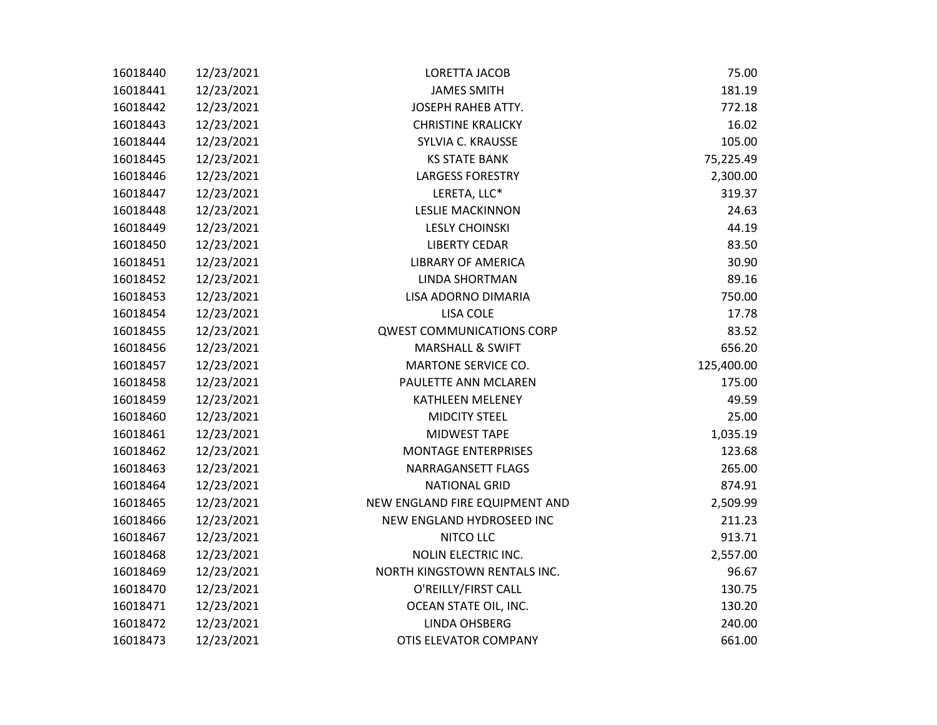| 16018440 | 12/23/2021 | LORETTA JACOB                    | 75.00      |
|----------|------------|----------------------------------|------------|
| 16018441 | 12/23/2021 | <b>JAMES SMITH</b>               | 181.19     |
| 16018442 | 12/23/2021 | <b>JOSEPH RAHEB ATTY.</b>        | 772.18     |
| 16018443 | 12/23/2021 | <b>CHRISTINE KRALICKY</b>        | 16.02      |
| 16018444 | 12/23/2021 | SYLVIA C. KRAUSSE                | 105.00     |
| 16018445 | 12/23/2021 | <b>KS STATE BANK</b>             | 75,225.49  |
| 16018446 | 12/23/2021 | <b>LARGESS FORESTRY</b>          | 2,300.00   |
| 16018447 | 12/23/2021 | LERETA, LLC*                     | 319.37     |
| 16018448 | 12/23/2021 | <b>LESLIE MACKINNON</b>          | 24.63      |
| 16018449 | 12/23/2021 | <b>LESLY CHOINSKI</b>            | 44.19      |
| 16018450 | 12/23/2021 | <b>LIBERTY CEDAR</b>             | 83.50      |
| 16018451 | 12/23/2021 | <b>LIBRARY OF AMERICA</b>        | 30.90      |
| 16018452 | 12/23/2021 | <b>LINDA SHORTMAN</b>            | 89.16      |
| 16018453 | 12/23/2021 | LISA ADORNO DIMARIA              | 750.00     |
| 16018454 | 12/23/2021 | <b>LISA COLE</b>                 | 17.78      |
| 16018455 | 12/23/2021 | <b>QWEST COMMUNICATIONS CORP</b> | 83.52      |
| 16018456 | 12/23/2021 | <b>MARSHALL &amp; SWIFT</b>      | 656.20     |
| 16018457 | 12/23/2021 | <b>MARTONE SERVICE CO.</b>       | 125,400.00 |
| 16018458 | 12/23/2021 | PAULETTE ANN MCLAREN             | 175.00     |
| 16018459 | 12/23/2021 | KATHLEEN MELENEY                 | 49.59      |
| 16018460 | 12/23/2021 | <b>MIDCITY STEEL</b>             | 25.00      |
| 16018461 | 12/23/2021 | MIDWEST TAPE                     | 1,035.19   |
| 16018462 | 12/23/2021 | <b>MONTAGE ENTERPRISES</b>       | 123.68     |
| 16018463 | 12/23/2021 | NARRAGANSETT FLAGS               | 265.00     |
| 16018464 | 12/23/2021 | <b>NATIONAL GRID</b>             | 874.91     |
| 16018465 | 12/23/2021 | NEW ENGLAND FIRE EQUIPMENT AND   | 2,509.99   |
| 16018466 | 12/23/2021 | NEW ENGLAND HYDROSEED INC        | 211.23     |
| 16018467 | 12/23/2021 | NITCO LLC                        | 913.71     |
| 16018468 | 12/23/2021 | <b>NOLIN ELECTRIC INC.</b>       | 2,557.00   |
| 16018469 | 12/23/2021 | NORTH KINGSTOWN RENTALS INC.     | 96.67      |
| 16018470 | 12/23/2021 | O'REILLY/FIRST CALL              | 130.75     |
| 16018471 | 12/23/2021 | OCEAN STATE OIL, INC.            | 130.20     |
| 16018472 | 12/23/2021 | <b>LINDA OHSBERG</b>             | 240.00     |
| 16018473 | 12/23/2021 | OTIS ELEVATOR COMPANY            | 661.00     |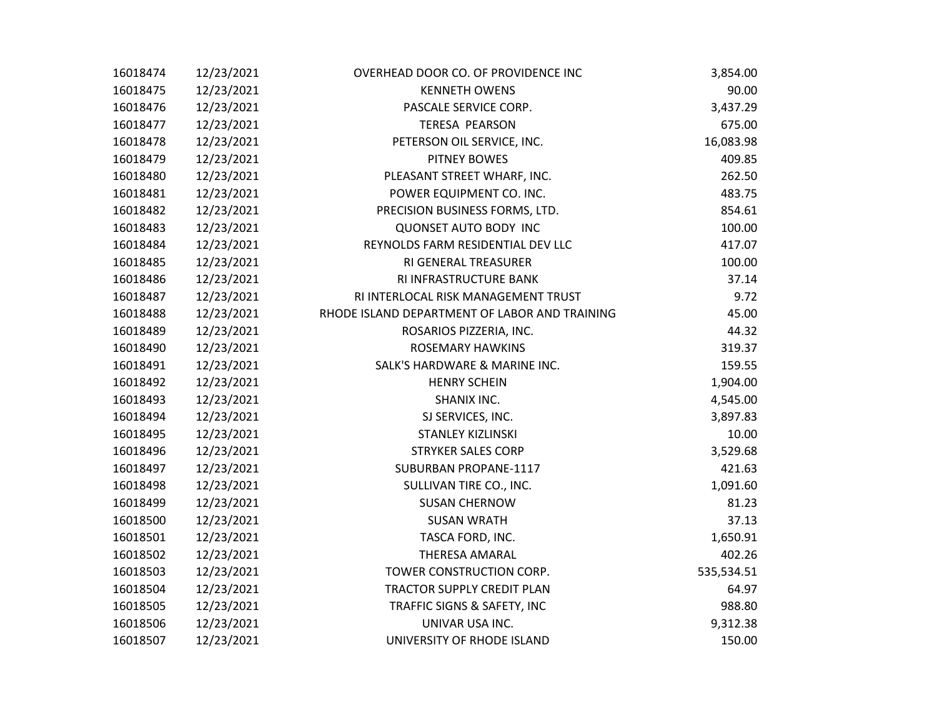| 16018474 | 12/23/2021 | OVERHEAD DOOR CO. OF PROVIDENCE INC           | 3,854.00   |
|----------|------------|-----------------------------------------------|------------|
| 16018475 | 12/23/2021 | <b>KENNETH OWENS</b>                          | 90.00      |
| 16018476 | 12/23/2021 | PASCALE SERVICE CORP.                         | 3,437.29   |
| 16018477 | 12/23/2021 | <b>TERESA PEARSON</b>                         | 675.00     |
| 16018478 | 12/23/2021 | PETERSON OIL SERVICE, INC.                    | 16,083.98  |
| 16018479 | 12/23/2021 | PITNEY BOWES                                  | 409.85     |
| 16018480 | 12/23/2021 | PLEASANT STREET WHARF, INC.                   | 262.50     |
| 16018481 | 12/23/2021 | POWER EQUIPMENT CO. INC.                      | 483.75     |
| 16018482 | 12/23/2021 | PRECISION BUSINESS FORMS, LTD.                | 854.61     |
| 16018483 | 12/23/2021 | <b>QUONSET AUTO BODY INC</b>                  | 100.00     |
| 16018484 | 12/23/2021 | REYNOLDS FARM RESIDENTIAL DEV LLC             | 417.07     |
| 16018485 | 12/23/2021 | RI GENERAL TREASURER                          | 100.00     |
| 16018486 | 12/23/2021 | RI INFRASTRUCTURE BANK                        | 37.14      |
| 16018487 | 12/23/2021 | RI INTERLOCAL RISK MANAGEMENT TRUST           | 9.72       |
| 16018488 | 12/23/2021 | RHODE ISLAND DEPARTMENT OF LABOR AND TRAINING | 45.00      |
| 16018489 | 12/23/2021 | ROSARIOS PIZZERIA, INC.                       | 44.32      |
| 16018490 | 12/23/2021 | <b>ROSEMARY HAWKINS</b>                       | 319.37     |
| 16018491 | 12/23/2021 | SALK'S HARDWARE & MARINE INC.                 | 159.55     |
| 16018492 | 12/23/2021 | <b>HENRY SCHEIN</b>                           | 1,904.00   |
| 16018493 | 12/23/2021 | SHANIX INC.                                   | 4,545.00   |
| 16018494 | 12/23/2021 | SJ SERVICES, INC.                             | 3,897.83   |
| 16018495 | 12/23/2021 | <b>STANLEY KIZLINSKI</b>                      | 10.00      |
| 16018496 | 12/23/2021 | <b>STRYKER SALES CORP</b>                     | 3,529.68   |
| 16018497 | 12/23/2021 | SUBURBAN PROPANE-1117                         | 421.63     |
| 16018498 | 12/23/2021 | SULLIVAN TIRE CO., INC.                       | 1,091.60   |
| 16018499 | 12/23/2021 | <b>SUSAN CHERNOW</b>                          | 81.23      |
| 16018500 | 12/23/2021 | <b>SUSAN WRATH</b>                            | 37.13      |
| 16018501 | 12/23/2021 | TASCA FORD, INC.                              | 1,650.91   |
| 16018502 | 12/23/2021 | <b>THERESA AMARAL</b>                         | 402.26     |
| 16018503 | 12/23/2021 | TOWER CONSTRUCTION CORP.                      | 535,534.51 |
| 16018504 | 12/23/2021 | TRACTOR SUPPLY CREDIT PLAN                    | 64.97      |
| 16018505 | 12/23/2021 | TRAFFIC SIGNS & SAFETY, INC                   | 988.80     |
| 16018506 | 12/23/2021 | UNIVAR USA INC.                               | 9,312.38   |
| 16018507 | 12/23/2021 | UNIVERSITY OF RHODE ISLAND                    | 150.00     |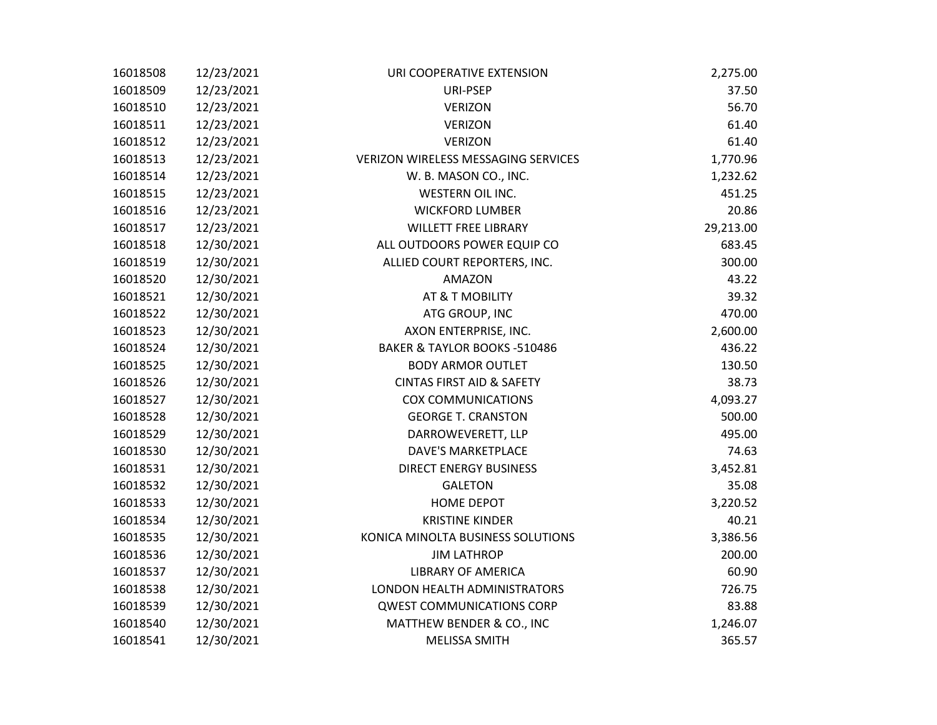| 16018508 | 12/23/2021 | URI COOPERATIVE EXTENSION                  | 2,275.00  |
|----------|------------|--------------------------------------------|-----------|
| 16018509 | 12/23/2021 | URI-PSEP                                   | 37.50     |
| 16018510 | 12/23/2021 | <b>VERIZON</b>                             | 56.70     |
| 16018511 | 12/23/2021 | <b>VERIZON</b>                             | 61.40     |
| 16018512 | 12/23/2021 | <b>VERIZON</b>                             | 61.40     |
| 16018513 | 12/23/2021 | <b>VERIZON WIRELESS MESSAGING SERVICES</b> | 1,770.96  |
| 16018514 | 12/23/2021 | W. B. MASON CO., INC.                      | 1,232.62  |
| 16018515 | 12/23/2021 | <b>WESTERN OIL INC.</b>                    | 451.25    |
| 16018516 | 12/23/2021 | <b>WICKFORD LUMBER</b>                     | 20.86     |
| 16018517 | 12/23/2021 | <b>WILLETT FREE LIBRARY</b>                | 29,213.00 |
| 16018518 | 12/30/2021 | ALL OUTDOORS POWER EQUIP CO                | 683.45    |
| 16018519 | 12/30/2021 | ALLIED COURT REPORTERS, INC.               | 300.00    |
| 16018520 | 12/30/2021 | AMAZON                                     | 43.22     |
| 16018521 | 12/30/2021 | AT & T MOBILITY                            | 39.32     |
| 16018522 | 12/30/2021 | ATG GROUP, INC                             | 470.00    |
| 16018523 | 12/30/2021 | AXON ENTERPRISE, INC.                      | 2,600.00  |
| 16018524 | 12/30/2021 | BAKER & TAYLOR BOOKS -510486               | 436.22    |
| 16018525 | 12/30/2021 | <b>BODY ARMOR OUTLET</b>                   | 130.50    |
| 16018526 | 12/30/2021 | <b>CINTAS FIRST AID &amp; SAFETY</b>       | 38.73     |
| 16018527 | 12/30/2021 | <b>COX COMMUNICATIONS</b>                  | 4,093.27  |
| 16018528 | 12/30/2021 | <b>GEORGE T. CRANSTON</b>                  | 500.00    |
| 16018529 | 12/30/2021 | DARROWEVERETT, LLP                         | 495.00    |
| 16018530 | 12/30/2021 | <b>DAVE'S MARKETPLACE</b>                  | 74.63     |
| 16018531 | 12/30/2021 | <b>DIRECT ENERGY BUSINESS</b>              | 3,452.81  |
| 16018532 | 12/30/2021 | <b>GALETON</b>                             | 35.08     |
| 16018533 | 12/30/2021 | <b>HOME DEPOT</b>                          | 3,220.52  |
| 16018534 | 12/30/2021 | <b>KRISTINE KINDER</b>                     | 40.21     |
| 16018535 | 12/30/2021 | KONICA MINOLTA BUSINESS SOLUTIONS          | 3,386.56  |
| 16018536 | 12/30/2021 | <b>JIM LATHROP</b>                         | 200.00    |
| 16018537 | 12/30/2021 | <b>LIBRARY OF AMERICA</b>                  | 60.90     |
| 16018538 | 12/30/2021 | LONDON HEALTH ADMINISTRATORS               | 726.75    |
| 16018539 | 12/30/2021 | <b>QWEST COMMUNICATIONS CORP</b>           | 83.88     |
| 16018540 | 12/30/2021 | MATTHEW BENDER & CO., INC                  | 1,246.07  |
| 16018541 | 12/30/2021 | <b>MELISSA SMITH</b>                       | 365.57    |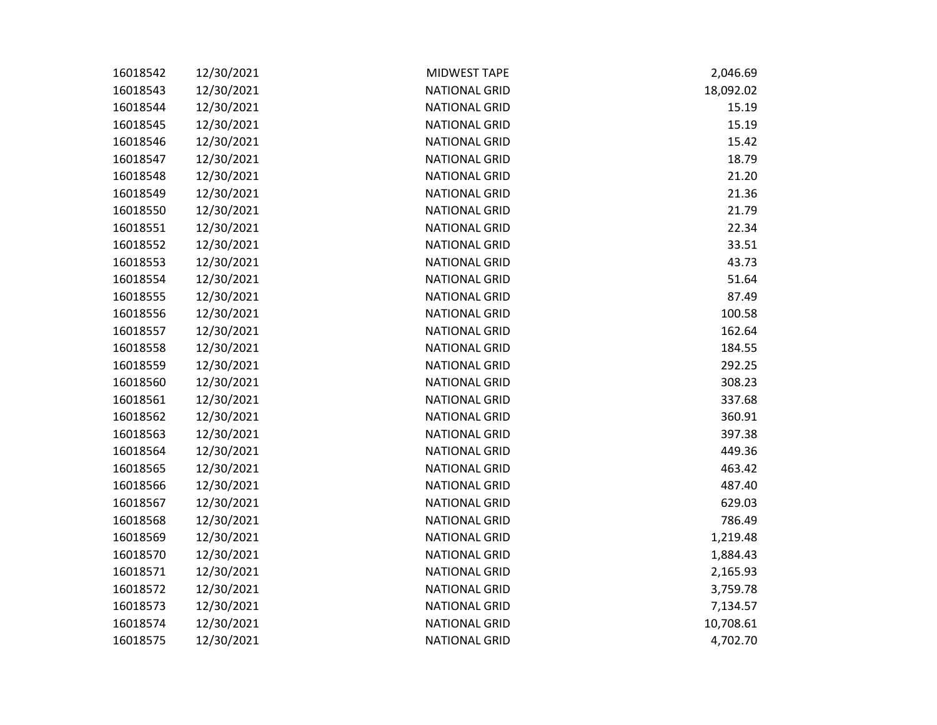| 16018542 | 12/30/2021 | MIDWEST TAPE         | 2,046.69  |
|----------|------------|----------------------|-----------|
| 16018543 | 12/30/2021 | <b>NATIONAL GRID</b> | 18,092.02 |
| 16018544 | 12/30/2021 | <b>NATIONAL GRID</b> | 15.19     |
| 16018545 | 12/30/2021 | <b>NATIONAL GRID</b> | 15.19     |
| 16018546 | 12/30/2021 | <b>NATIONAL GRID</b> | 15.42     |
| 16018547 | 12/30/2021 | <b>NATIONAL GRID</b> | 18.79     |
| 16018548 | 12/30/2021 | <b>NATIONAL GRID</b> | 21.20     |
| 16018549 | 12/30/2021 | <b>NATIONAL GRID</b> | 21.36     |
| 16018550 | 12/30/2021 | <b>NATIONAL GRID</b> | 21.79     |
| 16018551 | 12/30/2021 | <b>NATIONAL GRID</b> | 22.34     |
| 16018552 | 12/30/2021 | <b>NATIONAL GRID</b> | 33.51     |
| 16018553 | 12/30/2021 | <b>NATIONAL GRID</b> | 43.73     |
| 16018554 | 12/30/2021 | <b>NATIONAL GRID</b> | 51.64     |
| 16018555 | 12/30/2021 | <b>NATIONAL GRID</b> | 87.49     |
| 16018556 | 12/30/2021 | <b>NATIONAL GRID</b> | 100.58    |
| 16018557 | 12/30/2021 | <b>NATIONAL GRID</b> | 162.64    |
| 16018558 | 12/30/2021 | <b>NATIONAL GRID</b> | 184.55    |
| 16018559 | 12/30/2021 | <b>NATIONAL GRID</b> | 292.25    |
| 16018560 | 12/30/2021 | <b>NATIONAL GRID</b> | 308.23    |
| 16018561 | 12/30/2021 | <b>NATIONAL GRID</b> | 337.68    |
| 16018562 | 12/30/2021 | <b>NATIONAL GRID</b> | 360.91    |
| 16018563 | 12/30/2021 | <b>NATIONAL GRID</b> | 397.38    |
| 16018564 | 12/30/2021 | <b>NATIONAL GRID</b> | 449.36    |
| 16018565 | 12/30/2021 | <b>NATIONAL GRID</b> | 463.42    |
| 16018566 | 12/30/2021 | <b>NATIONAL GRID</b> | 487.40    |
| 16018567 | 12/30/2021 | <b>NATIONAL GRID</b> | 629.03    |
| 16018568 | 12/30/2021 | <b>NATIONAL GRID</b> | 786.49    |
| 16018569 | 12/30/2021 | <b>NATIONAL GRID</b> | 1,219.48  |
| 16018570 | 12/30/2021 | <b>NATIONAL GRID</b> | 1,884.43  |
| 16018571 | 12/30/2021 | <b>NATIONAL GRID</b> | 2,165.93  |
| 16018572 | 12/30/2021 | <b>NATIONAL GRID</b> | 3,759.78  |
| 16018573 | 12/30/2021 | <b>NATIONAL GRID</b> | 7,134.57  |
| 16018574 | 12/30/2021 | <b>NATIONAL GRID</b> | 10,708.61 |
| 16018575 | 12/30/2021 | <b>NATIONAL GRID</b> | 4,702.70  |